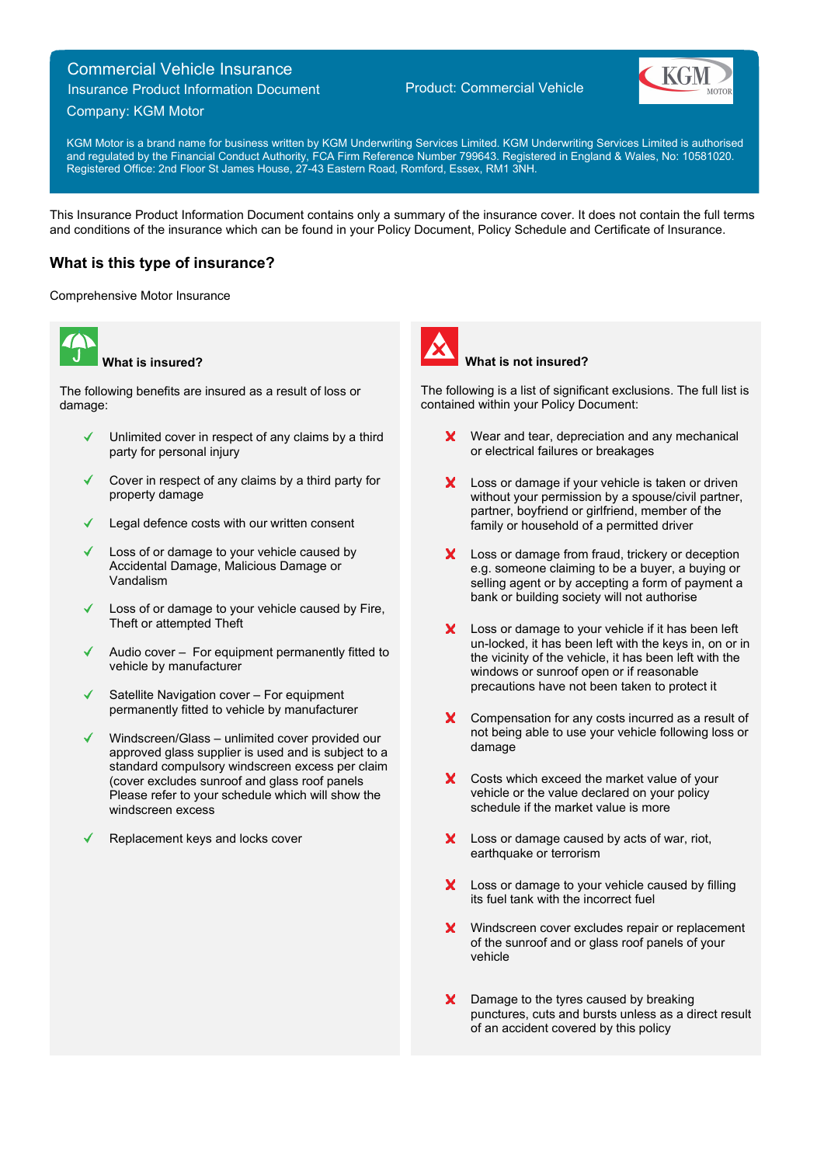# Commercial Vehicle Insurance

Insurance Product Information Document

## Product: Commercial Vehicle



Company: KGM Motor

KGM Motor is a brand name for business written by KGM Underwriting Services Limited. KGM Underwriting Services Limited is authorised and regulated by the Financial Conduct Authority, FCA Firm Reference Number 799643. Registered in England & Wales, No: 10581020. Registered Office: 2nd Floor St James House, 27-43 Eastern Road, Romford, Essex, RM1 3NH.

This Insurance Product Information Document contains only a summary of the insurance cover. It does not contain the full terms and conditions of the insurance which can be found in your Policy Document, Policy Schedule and Certificate of Insurance.

# **What is this type of insurance?**

Comprehensive Motor Insurance



**What is insured?**

The following benefits are insured as a result of loss or damage:

- Unlimited cover in respect of any claims by a third party for personal injury
- Cover in respect of any claims by a third party for property damage
- Legal defence costs with our written consent
- Loss of or damage to your vehicle caused by Accidental Damage, Malicious Damage or Vandalism
- Loss of or damage to your vehicle caused by Fire, Theft or attempted Theft
- Audio cover For equipment permanently fitted to vehicle by manufacturer
- Satellite Navigation cover For equipment permanently fitted to vehicle by manufacturer
- Windscreen/Glass unlimited cover provided our approved glass supplier is used and is subject to a standard compulsory windscreen excess per claim (cover excludes sunroof and glass roof panels Please refer to your schedule which will show the windscreen excess
- Replacement keys and locks cover



## **What is not insured?**

The following is a list of significant exclusions. The full list is contained within your Policy Document:

- **X** Wear and tear, depreciation and any mechanical or electrical failures or breakages
- X Loss or damage if your vehicle is taken or driven without your permission by a spouse/civil partner, partner, boyfriend or girlfriend, member of the family or household of a permitted driver
- X Loss or damage from fraud, trickery or deception e.g. someone claiming to be a buyer, a buying or selling agent or by accepting a form of payment a bank or building society will not authorise
- X Loss or damage to your vehicle if it has been left un-locked, it has been left with the keys in, on or in the vicinity of the vehicle, it has been left with the windows or sunroof open or if reasonable precautions have not been taken to protect it
- X Compensation for any costs incurred as a result of not being able to use your vehicle following loss or damage
- X Costs which exceed the market value of your vehicle or the value declared on your policy schedule if the market value is more
- X Loss or damage caused by acts of war, riot, earthquake or terrorism
- X Loss or damage to your vehicle caused by filling its fuel tank with the incorrect fuel
- $\mathbf{x}$ Windscreen cover excludes repair or replacement of the sunroof and or glass roof panels of your vehicle
- X Damage to the tyres caused by breaking punctures, cuts and bursts unless as a direct result of an accident covered by this policy